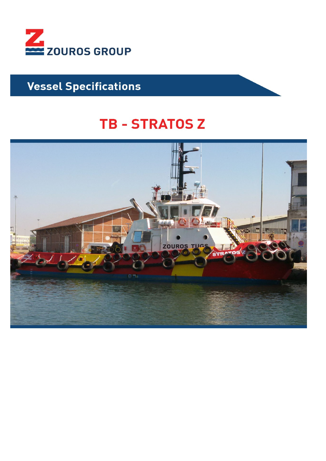

# **Vessel Specifications**

# **TB - STRATOS Z**